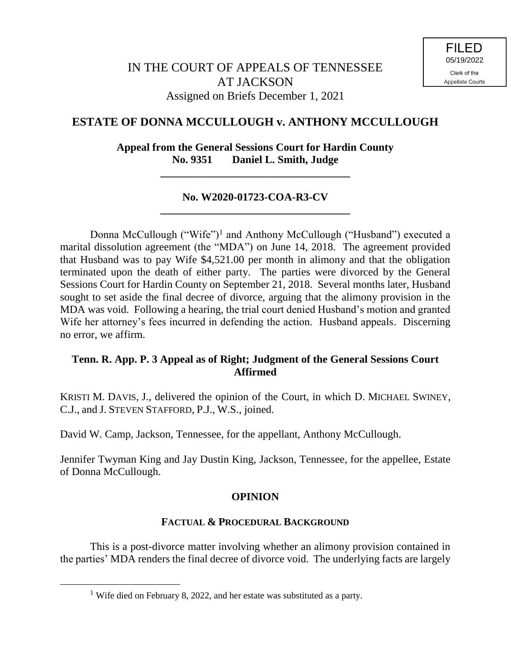# **ESTATE OF DONNA MCCULLOUGH v. ANTHONY MCCULLOUGH**

**Appeal from the General Sessions Court for Hardin County No. 9351 Daniel L. Smith, Judge**

**\_\_\_\_\_\_\_\_\_\_\_\_\_\_\_\_\_\_\_\_\_\_\_\_\_\_\_\_\_\_\_\_\_\_\_**

### **No. W2020-01723-COA-R3-CV \_\_\_\_\_\_\_\_\_\_\_\_\_\_\_\_\_\_\_\_\_\_\_\_\_\_\_\_\_\_\_\_\_\_\_**

Donna McCullough ("Wife")<sup>1</sup> and Anthony McCullough ("Husband") executed a marital dissolution agreement (the "MDA") on June 14, 2018. The agreement provided that Husband was to pay Wife \$4,521.00 per month in alimony and that the obligation terminated upon the death of either party. The parties were divorced by the General Sessions Court for Hardin County on September 21, 2018. Several months later, Husband sought to set aside the final decree of divorce, arguing that the alimony provision in the MDA was void. Following a hearing, the trial court denied Husband's motion and granted Wife her attorney's fees incurred in defending the action. Husband appeals. Discerning no error, we affirm.

## **Tenn. R. App. P. 3 Appeal as of Right; Judgment of the General Sessions Court Affirmed**

KRISTI M. DAVIS, J., delivered the opinion of the Court, in which D. MICHAEL SWINEY, C.J., and J. STEVEN STAFFORD, P.J., W.S., joined.

David W. Camp, Jackson, Tennessee, for the appellant, Anthony McCullough.

Jennifer Twyman King and Jay Dustin King, Jackson, Tennessee, for the appellee, Estate of Donna McCullough.

## **OPINION**

### **FACTUAL & PROCEDURAL BACKGROUND**

This is a post-divorce matter involving whether an alimony provision contained in the parties' MDA renders the final decree of divorce void. The underlying facts are largely

 $\overline{a}$ 

<sup>&</sup>lt;sup>1</sup> Wife died on February 8, 2022, and her estate was substituted as a party.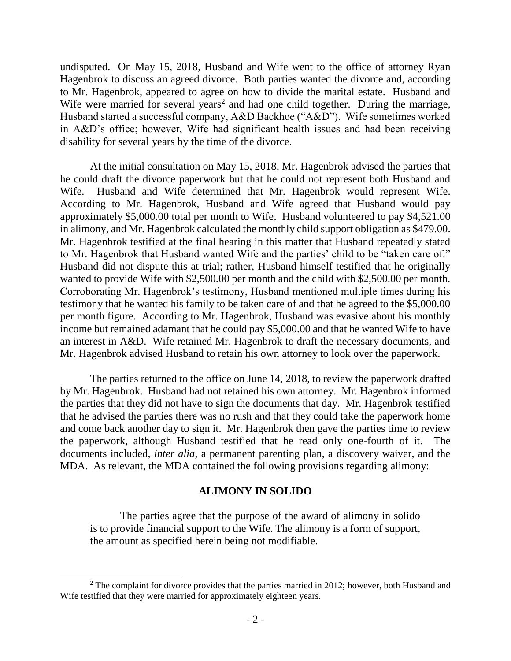undisputed. On May 15, 2018, Husband and Wife went to the office of attorney Ryan Hagenbrok to discuss an agreed divorce. Both parties wanted the divorce and, according to Mr. Hagenbrok, appeared to agree on how to divide the marital estate. Husband and Wife were married for several years<sup>2</sup> and had one child together. During the marriage, Husband started a successful company, A&D Backhoe ("A&D"). Wife sometimes worked in A&D's office; however, Wife had significant health issues and had been receiving disability for several years by the time of the divorce.

At the initial consultation on May 15, 2018, Mr. Hagenbrok advised the parties that he could draft the divorce paperwork but that he could not represent both Husband and Wife. Husband and Wife determined that Mr. Hagenbrok would represent Wife. According to Mr. Hagenbrok, Husband and Wife agreed that Husband would pay approximately \$5,000.00 total per month to Wife. Husband volunteered to pay \$4,521.00 in alimony, and Mr. Hagenbrok calculated the monthly child support obligation as \$479.00. Mr. Hagenbrok testified at the final hearing in this matter that Husband repeatedly stated to Mr. Hagenbrok that Husband wanted Wife and the parties' child to be "taken care of." Husband did not dispute this at trial; rather, Husband himself testified that he originally wanted to provide Wife with \$2,500.00 per month and the child with \$2,500.00 per month. Corroborating Mr. Hagenbrok's testimony, Husband mentioned multiple times during his testimony that he wanted his family to be taken care of and that he agreed to the \$5,000.00 per month figure. According to Mr. Hagenbrok, Husband was evasive about his monthly income but remained adamant that he could pay \$5,000.00 and that he wanted Wife to have an interest in A&D. Wife retained Mr. Hagenbrok to draft the necessary documents, and Mr. Hagenbrok advised Husband to retain his own attorney to look over the paperwork.

The parties returned to the office on June 14, 2018, to review the paperwork drafted by Mr. Hagenbrok. Husband had not retained his own attorney. Mr. Hagenbrok informed the parties that they did not have to sign the documents that day. Mr. Hagenbrok testified that he advised the parties there was no rush and that they could take the paperwork home and come back another day to sign it. Mr. Hagenbrok then gave the parties time to review the paperwork, although Husband testified that he read only one-fourth of it. The documents included, *inter alia*, a permanent parenting plan, a discovery waiver, and the MDA. As relevant, the MDA contained the following provisions regarding alimony:

### **ALIMONY IN SOLIDO**

The parties agree that the purpose of the award of alimony in solido is to provide financial support to the Wife. The alimony is a form of support, the amount as specified herein being not modifiable.

 $2$  The complaint for divorce provides that the parties married in 2012; however, both Husband and Wife testified that they were married for approximately eighteen years.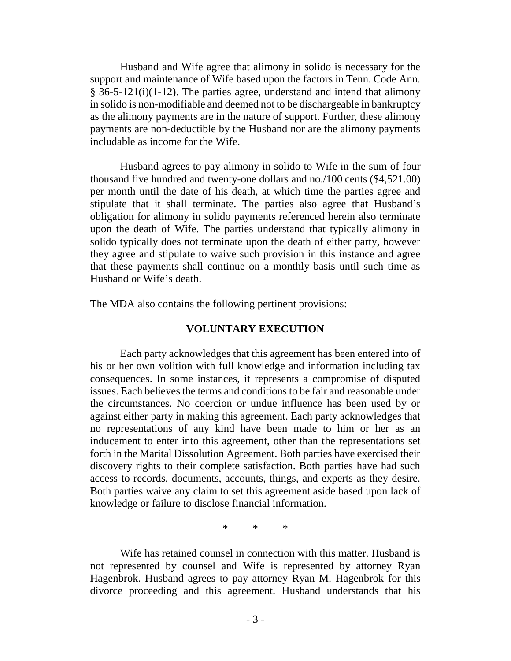Husband and Wife agree that alimony in solido is necessary for the support and maintenance of Wife based upon the factors in Tenn. Code Ann. § 36-5-121(i)(1-12). The parties agree, understand and intend that alimony in solido is non-modifiable and deemed not to be dischargeable in bankruptcy as the alimony payments are in the nature of support. Further, these alimony payments are non-deductible by the Husband nor are the alimony payments includable as income for the Wife.

Husband agrees to pay alimony in solido to Wife in the sum of four thousand five hundred and twenty-one dollars and no./100 cents (\$4,521.00) per month until the date of his death, at which time the parties agree and stipulate that it shall terminate. The parties also agree that Husband's obligation for alimony in solido payments referenced herein also terminate upon the death of Wife. The parties understand that typically alimony in solido typically does not terminate upon the death of either party, however they agree and stipulate to waive such provision in this instance and agree that these payments shall continue on a monthly basis until such time as Husband or Wife's death.

The MDA also contains the following pertinent provisions:

#### **VOLUNTARY EXECUTION**

Each party acknowledges that this agreement has been entered into of his or her own volition with full knowledge and information including tax consequences. In some instances, it represents a compromise of disputed issues. Each believes the terms and conditions to be fair and reasonable under the circumstances. No coercion or undue influence has been used by or against either party in making this agreement. Each party acknowledges that no representations of any kind have been made to him or her as an inducement to enter into this agreement, other than the representations set forth in the Marital Dissolution Agreement. Both parties have exercised their discovery rights to their complete satisfaction. Both parties have had such access to records, documents, accounts, things, and experts as they desire. Both parties waive any claim to set this agreement aside based upon lack of knowledge or failure to disclose financial information.

\* \* \*

Wife has retained counsel in connection with this matter. Husband is not represented by counsel and Wife is represented by attorney Ryan Hagenbrok. Husband agrees to pay attorney Ryan M. Hagenbrok for this divorce proceeding and this agreement. Husband understands that his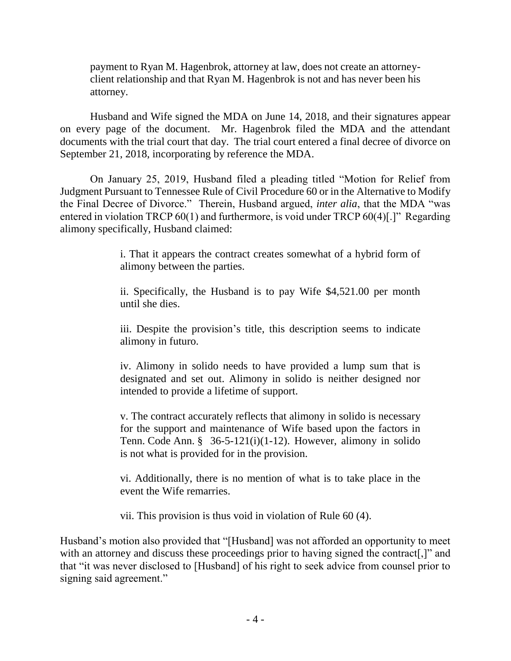payment to Ryan M. Hagenbrok, attorney at law, does not create an attorneyclient relationship and that Ryan M. Hagenbrok is not and has never been his attorney.

Husband and Wife signed the MDA on June 14, 2018, and their signatures appear on every page of the document. Mr. Hagenbrok filed the MDA and the attendant documents with the trial court that day. The trial court entered a final decree of divorce on September 21, 2018, incorporating by reference the MDA.

On January 25, 2019, Husband filed a pleading titled "Motion for Relief from Judgment Pursuant to Tennessee Rule of Civil Procedure 60 or in the Alternative to Modify the Final Decree of Divorce." Therein, Husband argued, *inter alia*, that the MDA "was entered in violation TRCP 60(1) and furthermore, is void under TRCP 60(4)[.]" Regarding alimony specifically, Husband claimed:

> i. That it appears the contract creates somewhat of a hybrid form of alimony between the parties.

> ii. Specifically, the Husband is to pay Wife \$4,521.00 per month until she dies.

> iii. Despite the provision's title, this description seems to indicate alimony in futuro.

> iv. Alimony in solido needs to have provided a lump sum that is designated and set out. Alimony in solido is neither designed nor intended to provide a lifetime of support.

> v. The contract accurately reflects that alimony in solido is necessary for the support and maintenance of Wife based upon the factors in Tenn. Code Ann. § 36-5-121(i)(1-12). However, alimony in solido is not what is provided for in the provision.

> vi. Additionally, there is no mention of what is to take place in the event the Wife remarries.

vii. This provision is thus void in violation of Rule 60 (4).

Husband's motion also provided that "[Husband] was not afforded an opportunity to meet with an attorney and discuss these proceedings prior to having signed the contract[,]" and that "it was never disclosed to [Husband] of his right to seek advice from counsel prior to signing said agreement."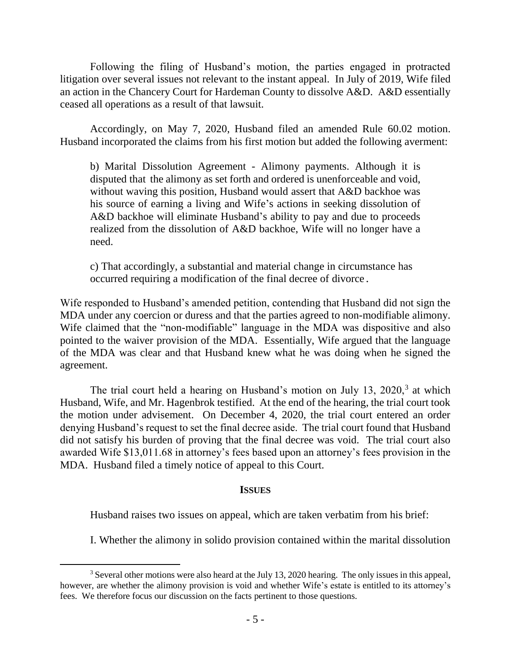Following the filing of Husband's motion, the parties engaged in protracted litigation over several issues not relevant to the instant appeal. In July of 2019, Wife filed an action in the Chancery Court for Hardeman County to dissolve A&D. A&D essentially ceased all operations as a result of that lawsuit.

Accordingly, on May 7, 2020, Husband filed an amended Rule 60.02 motion. Husband incorporated the claims from his first motion but added the following averment:

b) Marital Dissolution Agreement - Alimony payments. Although it is disputed that the alimony as set forth and ordered is unenforceable and void, without waving this position, Husband would assert that A&D backhoe was his source of earning a living and Wife's actions in seeking dissolution of A&D backhoe will eliminate Husband's ability to pay and due to proceeds realized from the dissolution of A&D backhoe, Wife will no longer have a need.

c) That accordingly, a substantial and material change in circumstance has occurred requiring a modification of the final decree of divorce.

Wife responded to Husband's amended petition, contending that Husband did not sign the MDA under any coercion or duress and that the parties agreed to non-modifiable alimony. Wife claimed that the "non-modifiable" language in the MDA was dispositive and also pointed to the waiver provision of the MDA. Essentially, Wife argued that the language of the MDA was clear and that Husband knew what he was doing when he signed the agreement.

The trial court held a hearing on Husband's motion on July  $13$ ,  $2020$ ,  $3$  at which Husband, Wife, and Mr. Hagenbrok testified. At the end of the hearing, the trial court took the motion under advisement. On December 4, 2020, the trial court entered an order denying Husband's request to set the final decree aside. The trial court found that Husband did not satisfy his burden of proving that the final decree was void. The trial court also awarded Wife \$13,011.68 in attorney's fees based upon an attorney's fees provision in the MDA. Husband filed a timely notice of appeal to this Court.

### **ISSUES**

Husband raises two issues on appeal, which are taken verbatim from his brief:

I. Whether the alimony in solido provision contained within the marital dissolution

 $\overline{a}$ <sup>3</sup> Several other motions were also heard at the July 13, 2020 hearing. The only issues in this appeal, however, are whether the alimony provision is void and whether Wife's estate is entitled to its attorney's fees. We therefore focus our discussion on the facts pertinent to those questions.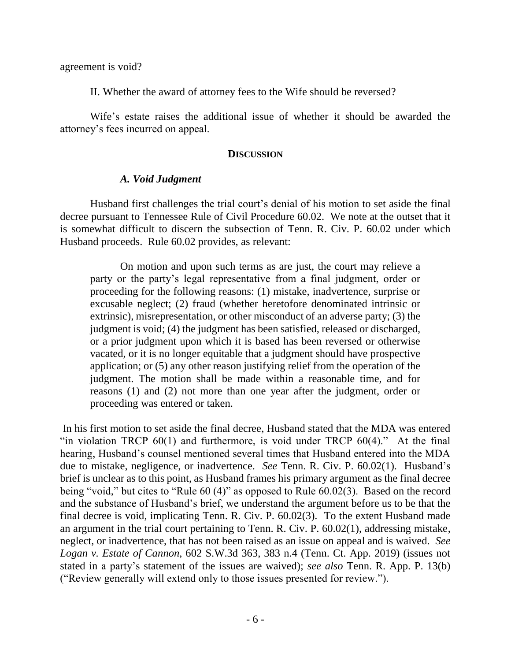agreement is void?

II. Whether the award of attorney fees to the Wife should be reversed?

Wife's estate raises the additional issue of whether it should be awarded the attorney's fees incurred on appeal.

#### **DISCUSSION**

### *A. Void Judgment*

Husband first challenges the trial court's denial of his motion to set aside the final decree pursuant to Tennessee Rule of Civil Procedure 60.02. We note at the outset that it is somewhat difficult to discern the subsection of Tenn. R. Civ. P. 60.02 under which Husband proceeds. Rule 60.02 provides, as relevant:

On motion and upon such terms as are just, the court may relieve a party or the party's legal representative from a final judgment, order or proceeding for the following reasons: (1) mistake, inadvertence, surprise or excusable neglect; (2) fraud (whether heretofore denominated intrinsic or extrinsic), misrepresentation, or other misconduct of an adverse party; (3) the judgment is void; (4) the judgment has been satisfied, released or discharged, or a prior judgment upon which it is based has been reversed or otherwise vacated, or it is no longer equitable that a judgment should have prospective application; or (5) any other reason justifying relief from the operation of the judgment. The motion shall be made within a reasonable time, and for reasons (1) and (2) not more than one year after the judgment, order or proceeding was entered or taken.

In his first motion to set aside the final decree, Husband stated that the MDA was entered "in violation TRCP  $60(1)$  and furthermore, is void under TRCP  $60(4)$ ." At the final hearing, Husband's counsel mentioned several times that Husband entered into the MDA due to mistake, negligence, or inadvertence. *See* Tenn. R. Civ. P. 60.02(1). Husband's brief is unclear as to this point, as Husband frames his primary argument as the final decree being "void," but cites to "Rule 60 (4)" as opposed to Rule 60.02(3). Based on the record and the substance of Husband's brief, we understand the argument before us to be that the final decree is void, implicating Tenn. R. Civ. P. 60.02(3). To the extent Husband made an argument in the trial court pertaining to Tenn. R. Civ. P. 60.02(1), addressing mistake, neglect, or inadvertence, that has not been raised as an issue on appeal and is waived. *See Logan v. Estate of Cannon*, 602 S.W.3d 363, 383 n.4 (Tenn. Ct. App. 2019) (issues not stated in a party's statement of the issues are waived); *see also* Tenn. R. App. P. 13(b) ("Review generally will extend only to those issues presented for review.").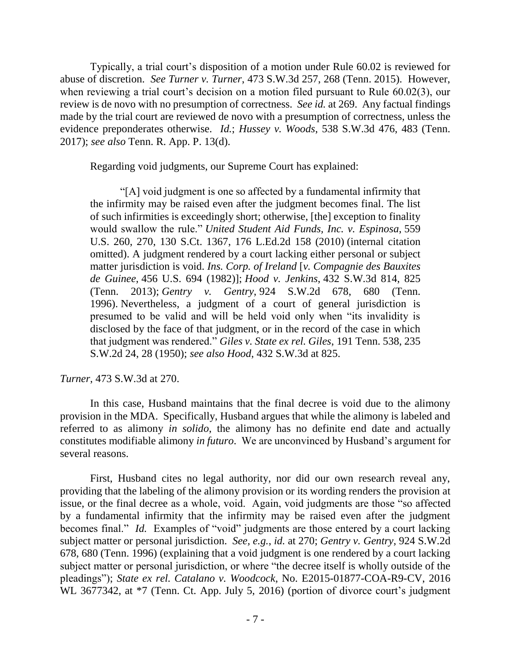Typically, a trial court's disposition of a motion under Rule 60.02 is reviewed for abuse of discretion. *See Turner v. Turner*, 473 S.W.3d 257, 268 (Tenn. 2015). However, when reviewing a trial court's decision on a motion filed pursuant to Rule 60.02(3), our review is de novo with no presumption of correctness. *See id.* at 269. Any factual findings made by the trial court are reviewed de novo with a presumption of correctness, unless the evidence preponderates otherwise. *Id.*; *Hussey v. Woods*, 538 S.W.3d 476, 483 (Tenn. 2017); *see also* Tenn. R. App. P. 13(d).

Regarding void judgments, our Supreme Court has explained:

"[A] void judgment is one so affected by a fundamental infirmity that the infirmity may be raised even after the judgment becomes final. The list of such infirmities is exceedingly short; otherwise, [the] exception to finality would swallow the rule." *United Student Aid Funds, Inc. v. Espinosa*, 559 U.S. 260, 270, 130 S.Ct. 1367, 176 L.Ed.2d 158 (2010) (internal citation omitted). A judgment rendered by a court lacking either personal or subject matter jurisdiction is void. *Ins. Corp. of Ireland* [*v. Compagnie des Bauxites de Guinee*, 456 U.S. 694 (1982)]; *Hood v. Jenkins*, 432 S.W.3d 814, 825 (Tenn. 2013); *Gentry v. Gentry*, 924 S.W.2d 678, 680 (Tenn. 1996). Nevertheless, a judgment of a court of general jurisdiction is presumed to be valid and will be held void only when "its invalidity is disclosed by the face of that judgment, or in the record of the case in which that judgment was rendered." *Giles v. State ex rel. Giles*, 191 Tenn. 538, 235 S.W.2d 24, 28 (1950); *see also Hood*, 432 S.W.3d at 825.

*Turner*, 473 S.W.3d at 270.

In this case, Husband maintains that the final decree is void due to the alimony provision in the MDA. Specifically, Husband argues that while the alimony is labeled and referred to as alimony *in solido*, the alimony has no definite end date and actually constitutes modifiable alimony *in futuro*. We are unconvinced by Husband's argument for several reasons.

First, Husband cites no legal authority, nor did our own research reveal any, providing that the labeling of the alimony provision or its wording renders the provision at issue, or the final decree as a whole, void. Again, void judgments are those "so affected by a fundamental infirmity that the infirmity may be raised even after the judgment becomes final." *Id.* Examples of "void" judgments are those entered by a court lacking subject matter or personal jurisdiction. *See, e.g.*, *id.* at 270; *Gentry v. Gentry*, 924 S.W.2d 678, 680 (Tenn. 1996) (explaining that a void judgment is one rendered by a court lacking subject matter or personal jurisdiction, or where "the decree itself is wholly outside of the pleadings"); *State ex rel. Catalano v. Woodcock*, No. E2015-01877-COA-R9-CV, 2016 WL 3677342, at \*7 (Tenn. Ct. App. July 5, 2016) (portion of divorce court's judgment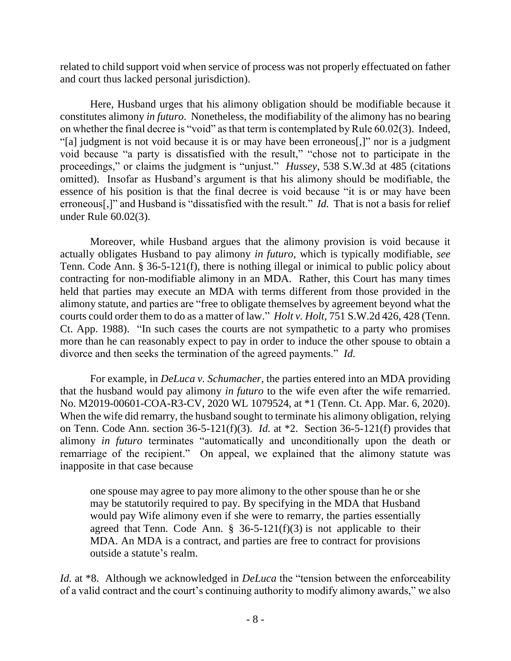related to child support void when service of process was not properly effectuated on father and court thus lacked personal jurisdiction).

Here, Husband urges that his alimony obligation should be modifiable because it constitutes alimony *in futuro*. Nonetheless, the modifiability of the alimony has no bearing on whether the final decree is "void" as that term is contemplated by Rule 60.02(3). Indeed, "[a] judgment is not void because it is or may have been erroneous[,]" nor is a judgment void because "a party is dissatisfied with the result," "chose not to participate in the proceedings," or claims the judgment is "unjust." *Hussey*, 538 S.W.3d at 485 (citations omitted). Insofar as Husband's argument is that his alimony should be modifiable, the essence of his position is that the final decree is void because "it is or may have been erroneous[,]" and Husband is "dissatisfied with the result." *Id.* That is not a basis for relief under Rule 60.02(3).

Moreover, while Husband argues that the alimony provision is void because it actually obligates Husband to pay alimony *in futuro*, which is typically modifiable, *see* Tenn. Code Ann. § 36-5-121(f), there is nothing illegal or inimical to public policy about contracting for non-modifiable alimony in an MDA. Rather, this Court has many times held that parties may execute an MDA with terms different from those provided in the alimony statute, and parties are "free to obligate themselves by agreement beyond what the courts could order them to do as a matter of law." *Holt v. Holt*, 751 S.W.2d 426, 428 (Tenn. Ct. App. 1988). "In such cases the courts are not sympathetic to a party who promises more than he can reasonably expect to pay in order to induce the other spouse to obtain a divorce and then seeks the termination of the agreed payments." *Id.* 

For example, in *DeLuca v. Schumacher*, the parties entered into an MDA providing that the husband would pay alimony *in futuro* to the wife even after the wife remarried. No. M2019-00601-COA-R3-CV, 2020 WL 1079524, at \*1 (Tenn. Ct. App. Mar. 6, 2020). When the wife did remarry, the husband sought to terminate his alimony obligation, relying on Tenn. Code Ann. section 36-5-121(f)(3). *Id.* at \*2. Section 36-5-121(f) provides that alimony *in futuro* terminates "automatically and unconditionally upon the death or remarriage of the recipient." On appeal, we explained that the alimony statute was inapposite in that case because

one spouse may agree to pay more alimony to the other spouse than he or she may be statutorily required to pay. By specifying in the MDA that Husband would pay Wife alimony even if she were to remarry, the parties essentially agreed that Tenn. Code Ann.  $\S$  36-5-121(f)(3) is not applicable to their MDA. An MDA is a contract, and parties are free to contract for provisions outside a statute's realm.

*Id.* at \*8. Although we acknowledged in *DeLuca* the "tension between the enforceability of a valid contract and the court's continuing authority to modify alimony awards," we also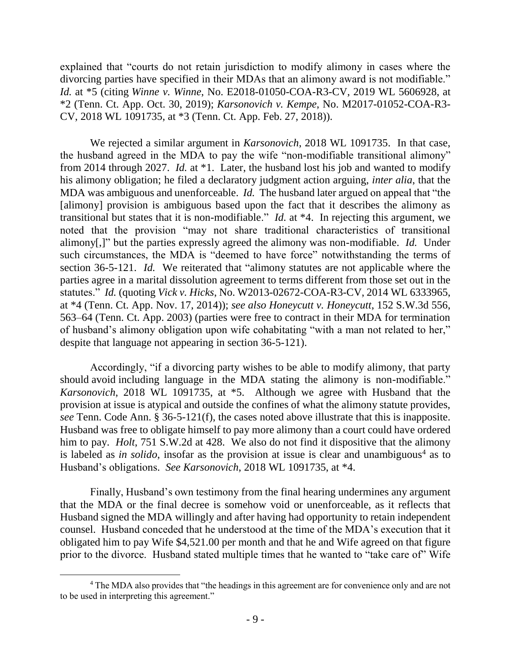explained that "courts do not retain jurisdiction to modify alimony in cases where the divorcing parties have specified in their MDAs that an alimony award is not modifiable." *Id.* at \*5 (citing *Winne v. Winne*, No. E2018-01050-COA-R3-CV, 2019 WL 5606928, at \*2 (Tenn. Ct. App. Oct. 30, 2019); *Karsonovich v. Kempe*, No. M2017-01052-COA-R3- CV, 2018 WL 1091735, at \*3 (Tenn. Ct. App. Feb. 27, 2018)).

We rejected a similar argument in *Karsonovich*, 2018 WL 1091735. In that case, the husband agreed in the MDA to pay the wife "non-modifiable transitional alimony" from 2014 through 2027. *Id.* at \*1. Later, the husband lost his job and wanted to modify his alimony obligation; he filed a declaratory judgment action arguing, *inter alia*, that the MDA was ambiguous and unenforceable. *Id.* The husband later argued on appeal that "the [alimony] provision is ambiguous based upon the fact that it describes the alimony as transitional but states that it is non-modifiable." *Id.* at \*4. In rejecting this argument, we noted that the provision "may not share traditional characteristics of transitional alimony[,]" but the parties expressly agreed the alimony was non-modifiable. *Id.* Under such circumstances, the MDA is "deemed to have force" notwithstanding the terms of section 36-5-121. *Id.* We reiterated that "alimony statutes are not applicable where the parties agree in a marital dissolution agreement to terms different from those set out in the statutes." *Id.* (quoting *Vick v. Hicks*, No. W2013-02672-COA-R3-CV, 2014 WL 6333965, at \*4 (Tenn. Ct. App. Nov. 17, 2014)); *see also Honeycutt v. Honeycutt*, 152 S.W.3d 556, 563–64 (Tenn. Ct. App. 2003) (parties were free to contract in their MDA for termination of husband's alimony obligation upon wife cohabitating "with a man not related to her," despite that language not appearing in section 36-5-121).

Accordingly, "if a divorcing party wishes to be able to modify alimony, that party should avoid including language in the MDA stating the alimony is non-modifiable." *Karsonovich*, 2018 WL 1091735, at \*5. Although we agree with Husband that the provision at issue is atypical and outside the confines of what the alimony statute provides, *see* Tenn. Code Ann. § 36-5-121(f), the cases noted above illustrate that this is inapposite. Husband was free to obligate himself to pay more alimony than a court could have ordered him to pay. *Holt*, 751 S.W.2d at 428. We also do not find it dispositive that the alimony is labeled as *in solido*, insofar as the provision at issue is clear and unambiguous<sup>4</sup> as to Husband's obligations. *See Karsonovich*, 2018 WL 1091735, at \*4.

Finally, Husband's own testimony from the final hearing undermines any argument that the MDA or the final decree is somehow void or unenforceable, as it reflects that Husband signed the MDA willingly and after having had opportunity to retain independent counsel. Husband conceded that he understood at the time of the MDA's execution that it obligated him to pay Wife \$4,521.00 per month and that he and Wife agreed on that figure prior to the divorce. Husband stated multiple times that he wanted to "take care of" Wife

<sup>&</sup>lt;sup>4</sup> The MDA also provides that "the headings in this agreement are for convenience only and are not to be used in interpreting this agreement."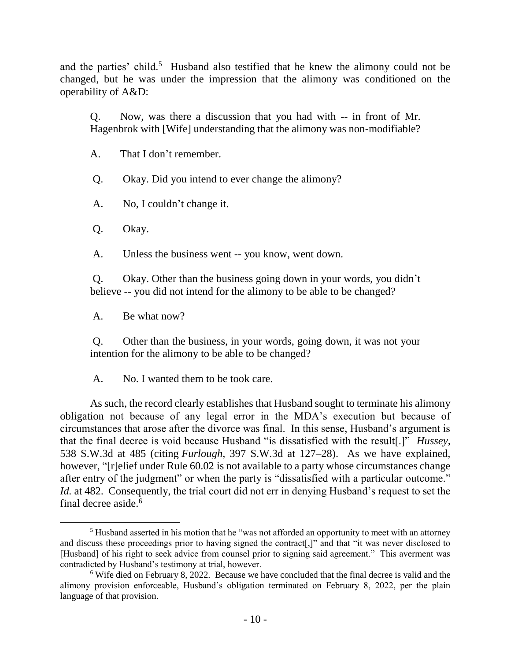and the parties' child.<sup>5</sup> Husband also testified that he knew the alimony could not be changed, but he was under the impression that the alimony was conditioned on the operability of A&D:

Q. Now, was there a discussion that you had with -- in front of Mr. Hagenbrok with [Wife] understanding that the alimony was non-modifiable?

A. That I don't remember.

Q. Okay. Did you intend to ever change the alimony?

A. No, I couldn't change it.

Q. Okay.

 $\overline{a}$ 

A. Unless the business went -- you know, went down.

Q. Okay. Other than the business going down in your words, you didn't believe -- you did not intend for the alimony to be able to be changed?

A. Be what now?

Q. Other than the business, in your words, going down, it was not your intention for the alimony to be able to be changed?

A. No. I wanted them to be took care.

As such, the record clearly establishes that Husband sought to terminate his alimony obligation not because of any legal error in the MDA's execution but because of circumstances that arose after the divorce was final. In this sense, Husband's argument is that the final decree is void because Husband "is dissatisfied with the result[.]" *Hussey*, 538 S.W.3d at 485 (citing *Furlough*, 397 S.W.3d at 127–28). As we have explained, however, "[r]elief under Rule 60.02 is not available to a party whose circumstances change after entry of the judgment" or when the party is "dissatisfied with a particular outcome." *Id.* at 482. Consequently, the trial court did not err in denying Husband's request to set the final decree aside.<sup>6</sup>

<sup>&</sup>lt;sup>5</sup> Husband asserted in his motion that he "was not afforded an opportunity to meet with an attorney and discuss these proceedings prior to having signed the contract[,]" and that "it was never disclosed to [Husband] of his right to seek advice from counsel prior to signing said agreement." This averment was contradicted by Husband's testimony at trial, however.

<sup>6</sup> Wife died on February 8, 2022. Because we have concluded that the final decree is valid and the alimony provision enforceable, Husband's obligation terminated on February 8, 2022, per the plain language of that provision.